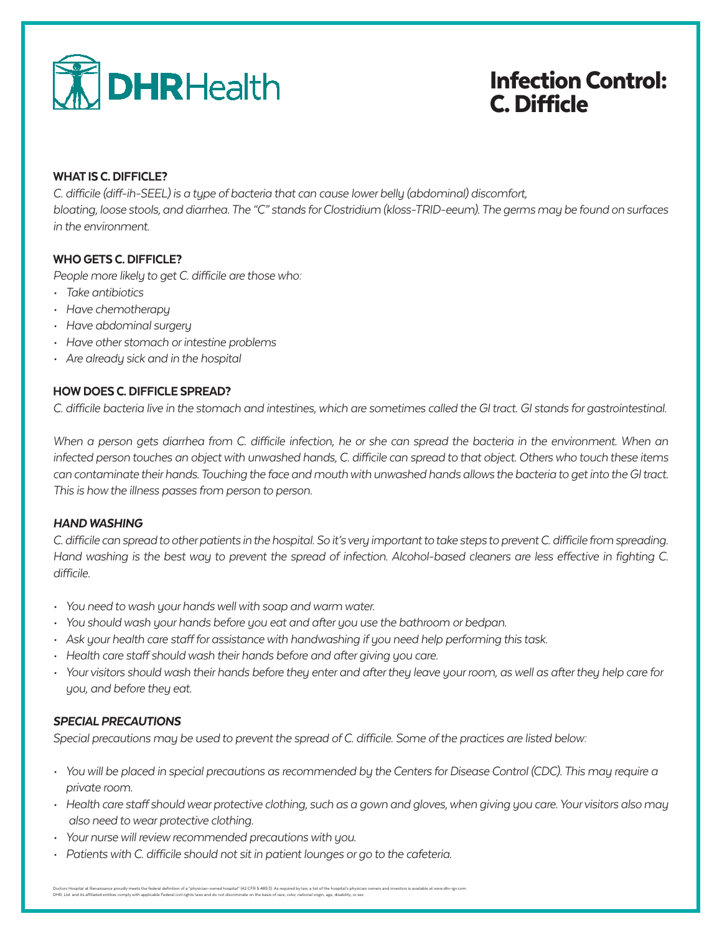

# Infection Control: C. Difficle

### WHAT IS C. DIFFICLE?

*C. difficile (diff-ih-SEEL) is a type of bacteria that can cause lower belly (abdominal) discomfort,* 

*bloating, loose stools, and diarrhea. The "C" stands for Clostridium (kloss-TRID-eeum). The germs may be found on surfaces in the environment.*

## WHO GETS C. DIFFICLE?

*People more likely to get C. difficile are those who:*

- *• Take antibiotics*
- *• Have chemotherapy*
- *• Have abdominal surgery*
- *• Have other stomach or intestine problems*
- *• Are already sick and in the hospital*

## HOW DOES C. DIFFICLE SPREAD?

*C. difficile bacteria live in the stomach and intestines, which are sometimes called the GI tract. GI stands for gastrointestinal.*

*When a person gets diarrhea from C. difficile infection, he or she can spread the bacteria in the environment. When an infected person touches an object with unwashed hands, C. difficile can spread to that object. Others who touch these items can contaminate their hands. Touching the face and mouth with unwashed hands allows the bacteria to get into the GI tract. This is how the illness passes from person to person.*

#### *HAND WASHING*

*C. difficile can spread to other patients in the hospital. So it's very important to take steps to prevent C. difficile from spreading. Hand washing is the best way to prevent the spread of infection. Alcohol-based cleaners are less effective in fighting C. difficile.*

- *• You need to wash your hands well with soap and warm water.*
- *• You should wash your hands before you eat and after you use the bathroom or bedpan.*
- *• Ask your health care staff for assistance with handwashing if you need help performing this task.*
- *• Health care staff should wash their hands before and after giving you care.*
- *• Your visitors should wash their hands before they enter and after they leave your room, as well as after they help care for you, and before they eat.*

#### *SPECIAL PRECAUTIONS*

*Special precautions may be used to prevent the spread of C. difficile. Some of the practices are listed below:*

- *• You will be placed in special precautions as recommended by the Centers for Disease Control (CDC). This may require a private room.*
- *• Health care staff should wear protective clothing, such as a gown and gloves, when giving you care. Your visitors also may also need to wear protective clothing.*
- *• Your nurse will review recommended precautions with you.*
- *• Patients with C. difficile should not sit in patient lounges or go to the cafeteria.*

Doctors Hopital at Renaisance proudly meets the federal definition of a "physicin-owned hospital" (42 CFR 5 489.3). As required by law, a list of the hospital's physician owners and investors is available at www.dhr-rgx.co